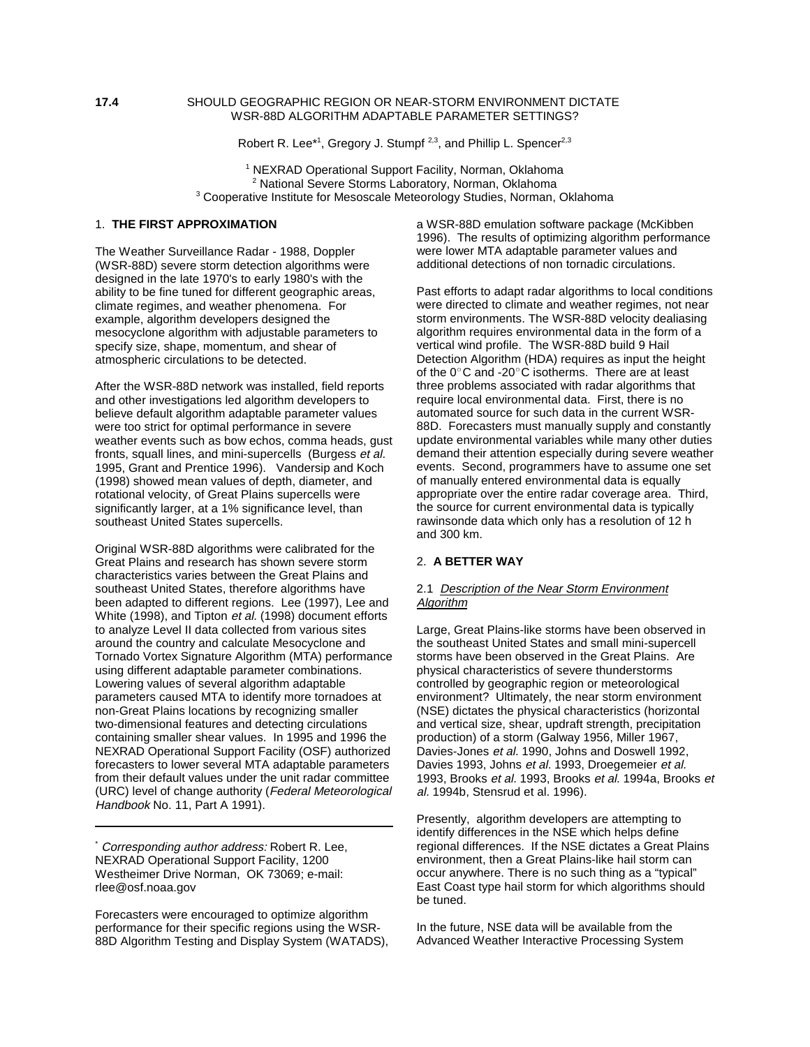### **17.4** SHOULD GEOGRAPHIC REGION OR NEAR-STORM ENVIRONMENT DICTATE WSR-88D ALGORITHM ADAPTABLE PARAMETER SETTINGS?

Robert R. Lee<sup>\*1</sup>, Gregory J. Stumpf<sup>2,3</sup>, and Phillip L. Spencer<sup>2,3</sup>

<sup>1</sup> NEXRAD Operational Support Facility, Norman, Oklahoma <sup>2</sup> National Severe Storms Laboratory, Norman, Oklahoma <sup>3</sup> Cooperative Institute for Mesoscale Meteorology Studies, Norman, Oklahoma

# 1. **THE FIRST APPROXIMATION**

The Weather Surveillance Radar - 1988, Doppler (WSR-88D) severe storm detection algorithms were designed in the late 1970's to early 1980's with the ability to be fine tuned for different geographic areas, climate regimes, and weather phenomena. For example, algorithm developers designed the mesocyclone algorithm with adjustable parameters to specify size, shape, momentum, and shear of atmospheric circulations to be detected.

After the WSR-88D network was installed, field reports and other investigations led algorithm developers to believe default algorithm adaptable parameter values were too strict for optimal performance in severe weather events such as bow echos, comma heads, gust fronts, squall lines, and mini-supercells (Burgess et al. 1995, Grant and Prentice 1996). Vandersip and Koch (1998) showed mean values of depth, diameter, and rotational velocity, of Great Plains supercells were significantly larger, at a 1% significance level, than southeast United States supercells.

Original WSR-88D algorithms were calibrated for the Great Plains and research has shown severe storm characteristics varies between the Great Plains and southeast United States, therefore algorithms have been adapted to different regions. Lee (1997), Lee and White (1998), and Tipton et al. (1998) document efforts to analyze Level II data collected from various sites around the country and calculate Mesocyclone and Tornado Vortex Signature Algorithm (MTA) performance using different adaptable parameter combinations. Lowering values of several algorithm adaptable parameters caused MTA to identify more tornadoes at non-Great Plains locations by recognizing smaller two-dimensional features and detecting circulations containing smaller shear values. In 1995 and 1996 the NEXRAD Operational Support Facility (OSF) authorized forecasters to lower several MTA adaptable parameters from their default values under the unit radar committee (URC) level of change authority (Federal Meteorological Handbook No. 11, Part A 1991).

Corresponding author address: Robert R. Lee, NEXRAD Operational Support Facility, 1200 Westheimer Drive Norman, OK 73069; e-mail: rlee@osf.noaa.gov

Forecasters were encouraged to optimize algorithm performance for their specific regions using the WSR-88D Algorithm Testing and Display System (WATADS), a WSR-88D emulation software package (McKibben 1996). The results of optimizing algorithm performance were lower MTA adaptable parameter values and additional detections of non tornadic circulations.

Past efforts to adapt radar algorithms to local conditions were directed to climate and weather regimes, not near storm environments. The WSR-88D velocity dealiasing algorithm requires environmental data in the form of a vertical wind profile. The WSR-88D build 9 Hail Detection Algorithm (HDA) requires as input the height of the  $0^{\circ}$ C and -20 $^{\circ}$ C isotherms. There are at least three problems associated with radar algorithms that require local environmental data. First, there is no automated source for such data in the current WSR-88D. Forecasters must manually supply and constantly update environmental variables while many other duties demand their attention especially during severe weather events. Second, programmers have to assume one set of manually entered environmental data is equally appropriate over the entire radar coverage area. Third, the source for current environmental data is typically rawinsonde data which only has a resolution of 12 h and 300 km.

# 2. **A BETTER WAY**

### 2.1 Description of the Near Storm Environment **Algorithm**

Large, Great Plains-like storms have been observed in the southeast United States and small mini-supercell storms have been observed in the Great Plains. Are physical characteristics of severe thunderstorms controlled by geographic region or meteorological environment? Ultimately, the near storm environment (NSE) dictates the physical characteristics (horizontal and vertical size, shear, updraft strength, precipitation production) of a storm (Galway 1956, Miller 1967, Davies-Jones et al. 1990, Johns and Doswell 1992, Davies 1993, Johns et al. 1993, Droegemeier et al. 1993, Brooks et al. 1993, Brooks et al. 1994a, Brooks et al. 1994b, Stensrud et al. 1996).

Presently, algorithm developers are attempting to identify differences in the NSE which helps define regional differences. If the NSE dictates a Great Plains environment, then a Great Plains-like hail storm can occur anywhere. There is no such thing as a "typical" East Coast type hail storm for which algorithms should be tuned.

In the future, NSE data will be available from the Advanced Weather Interactive Processing System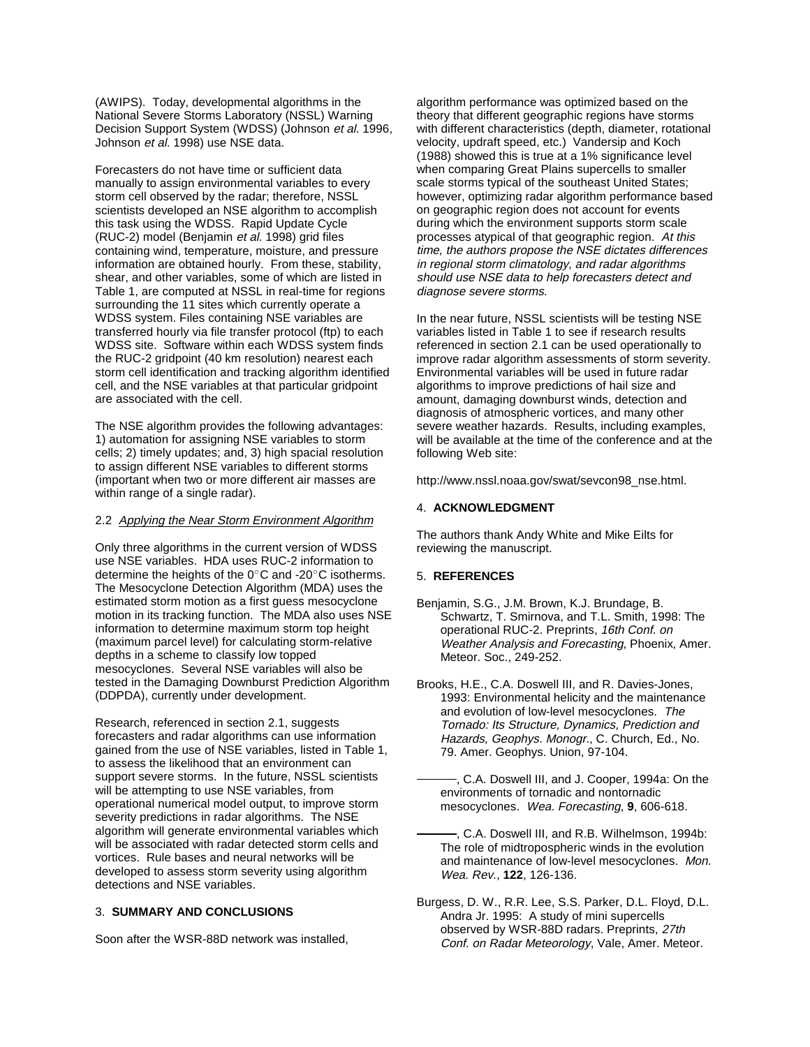(AWIPS). Today, developmental algorithms in the National Severe Storms Laboratory (NSSL) Warning Decision Support System (WDSS) (Johnson et al. 1996, Johnson et al. 1998) use NSE data.

Forecasters do not have time or sufficient data manually to assign environmental variables to every storm cell observed by the radar; therefore, NSSL scientists developed an NSE algorithm to accomplish this task using the WDSS. Rapid Update Cycle (RUC-2) model (Benjamin et al. 1998) grid files containing wind, temperature, moisture, and pressure information are obtained hourly. From these, stability, shear, and other variables, some of which are listed in Table 1, are computed at NSSL in real-time for regions surrounding the 11 sites which currently operate a WDSS system. Files containing NSE variables are transferred hourly via file transfer protocol (ftp) to each WDSS site. Software within each WDSS system finds the RUC-2 gridpoint (40 km resolution) nearest each storm cell identification and tracking algorithm identified cell, and the NSE variables at that particular gridpoint are associated with the cell.

The NSE algorithm provides the following advantages: 1) automation for assigning NSE variables to storm cells; 2) timely updates; and, 3) high spacial resolution to assign different NSE variables to different storms (important when two or more different air masses are within range of a single radar).

# 2.2 Applying the Near Storm Environment Algorithm

Only three algorithms in the current version of WDSS use NSE variables. HDA uses RUC-2 information to determine the heights of the  $0^{\circ}$ C and -20°C isotherms. The Mesocyclone Detection Algorithm (MDA) uses the estimated storm motion as a first guess mesocyclone motion in its tracking function. The MDA also uses NSE information to determine maximum storm top height (maximum parcel level) for calculating storm-relative depths in a scheme to classify low topped mesocyclones. Several NSE variables will also be tested in the Damaging Downburst Prediction Algorithm (DDPDA), currently under development.

Research, referenced in section 2.1, suggests forecasters and radar algorithms can use information gained from the use of NSE variables, listed in Table 1, to assess the likelihood that an environment can support severe storms. In the future, NSSL scientists will be attempting to use NSE variables, from operational numerical model output, to improve storm severity predictions in radar algorithms. The NSE algorithm will generate environmental variables which will be associated with radar detected storm cells and vortices. Rule bases and neural networks will be developed to assess storm severity using algorithm detections and NSE variables.

#### 3. **SUMMARY AND CONCLUSIONS**

Soon after the WSR-88D network was installed,

algorithm performance was optimized based on the theory that different geographic regions have storms with different characteristics (depth, diameter, rotational velocity, updraft speed, etc.) Vandersip and Koch (1988) showed this is true at a 1% significance level when comparing Great Plains supercells to smaller scale storms typical of the southeast United States; however, optimizing radar algorithm performance based on geographic region does not account for events during which the environment supports storm scale processes atypical of that geographic region. At this time, the authors propose the NSE dictates differences in regional storm climatology, and radar algorithms should use NSE data to help forecasters detect and diagnose severe storms.

In the near future, NSSL scientists will be testing NSE variables listed in Table 1 to see if research results referenced in section 2.1 can be used operationally to improve radar algorithm assessments of storm severity. Environmental variables will be used in future radar algorithms to improve predictions of hail size and amount, damaging downburst winds, detection and diagnosis of atmospheric vortices, and many other severe weather hazards. Results, including examples, will be available at the time of the conference and at the following Web site:

http://www.nssl.noaa.gov/swat/sevcon98\_nse.html.

### 4. **ACKNOWLEDGMENT**

The authors thank Andy White and Mike Eilts for reviewing the manuscript.

# 5. **REFERENCES**

- Benjamin, S.G., J.M. Brown, K.J. Brundage, B. Schwartz, T. Smirnova, and T.L. Smith, 1998: The operational RUC-2. Preprints, 16th Conf. on Weather Analysis and Forecasting, Phoenix, Amer. Meteor. Soc., 249-252.
- Brooks, H.E., C.A. Doswell III, and R. Davies-Jones, 1993: Environmental helicity and the maintenance and evolution of low-level mesocyclones. The Tornado: Its Structure, Dynamics, Prediction and Hazards, Geophys. Monogr., C. Church, Ed., No. 79. Amer. Geophys. Union, 97-104.
	- , C.A. Doswell III, and J. Cooper, 1994a: On the environments of tornadic and nontornadic mesocyclones. Wea. Forecasting, **9**, 606-618.
- , C.A. Doswell III, and R.B. Wilhelmson, 1994b: The role of midtropospheric winds in the evolution and maintenance of low-level mesocyclones. Mon. Wea. Rev., **122**, 126-136.
- Burgess, D. W., R.R. Lee, S.S. Parker, D.L. Floyd, D.L. Andra Jr. 1995: A study of mini supercells observed by WSR-88D radars. Preprints, 27th Conf. on Radar Meteorology, Vale, Amer. Meteor.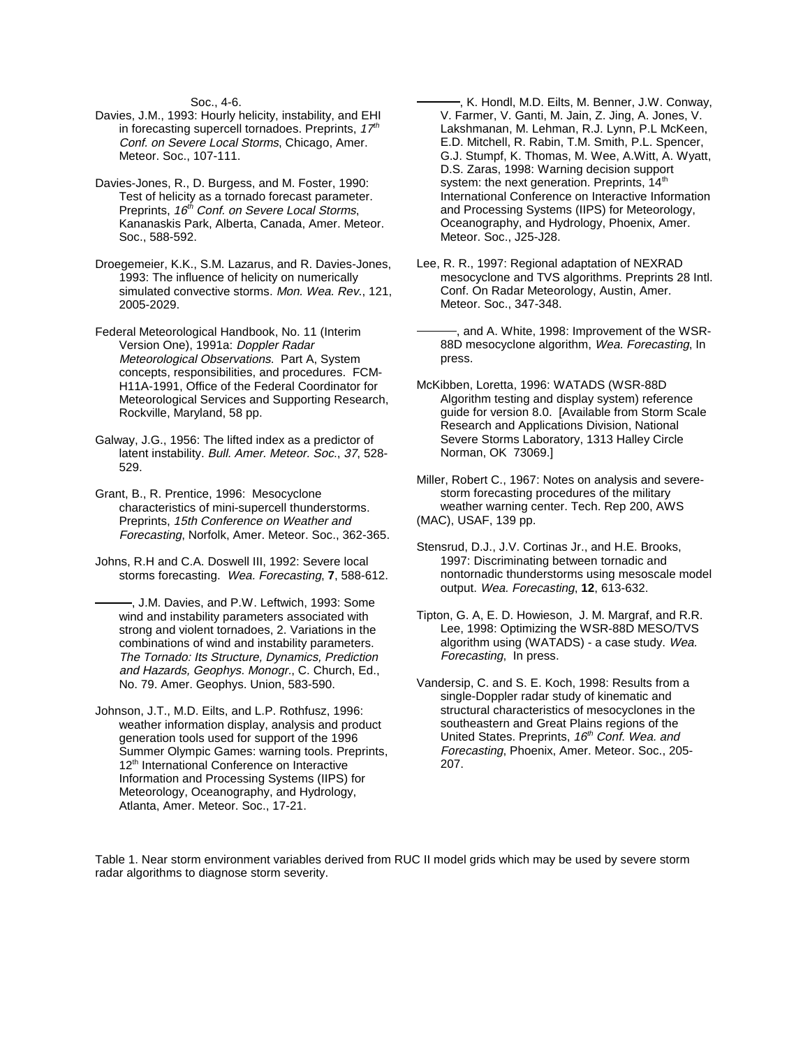Soc., 4-6.

- Davies, J.M., 1993: Hourly helicity, instability, and EHI in forecasting supercell tornadoes. Preprints,  $17<sup>th</sup>$ Conf. on Severe Local Storms, Chicago, Amer. Meteor. Soc., 107-111.
- Davies-Jones, R., D. Burgess, and M. Foster, 1990: Test of helicity as a tornado forecast parameter. Preprints, 16<sup>th</sup> Conf. on Severe Local Storms, Kananaskis Park, Alberta, Canada, Amer. Meteor. Soc., 588-592.
- Droegemeier, K.K., S.M. Lazarus, and R. Davies-Jones, 1993: The influence of helicity on numerically simulated convective storms. Mon. Wea. Rev., 121, 2005-2029.
- Federal Meteorological Handbook, No. 11 (Interim Version One), 1991a: Doppler Radar Meteorological Observations. Part A, System concepts, responsibilities, and procedures. FCM-H11A-1991, Office of the Federal Coordinator for Meteorological Services and Supporting Research, Rockville, Maryland, 58 pp.
- Galway, J.G., 1956: The lifted index as a predictor of latent instability. Bull. Amer. Meteor. Soc., 37, 528- 529.
- Grant, B., R. Prentice, 1996: Mesocyclone characteristics of mini-supercell thunderstorms. Preprints, 15th Conference on Weather and Forecasting, Norfolk, Amer. Meteor. Soc., 362-365.
- Johns, R.H and C.A. Doswell III, 1992: Severe local storms forecasting. Wea. Forecasting, **7**, 588-612.
	- , J.M. Davies, and P.W. Leftwich, 1993: Some wind and instability parameters associated with strong and violent tornadoes, 2. Variations in the combinations of wind and instability parameters. The Tornado: Its Structure, Dynamics, Prediction and Hazards, Geophys. Monogr., C. Church, Ed., No. 79. Amer. Geophys. Union, 583-590.
- Johnson, J.T., M.D. Eilts, and L.P. Rothfusz, 1996: weather information display, analysis and product generation tools used for support of the 1996 Summer Olympic Games: warning tools. Preprints, 12<sup>th</sup> International Conference on Interactive Information and Processing Systems (IIPS) for Meteorology, Oceanography, and Hydrology, Atlanta, Amer. Meteor. Soc., 17-21.
- , K. Hondl, M.D. Eilts, M. Benner, J.W. Conway, V. Farmer, V. Ganti, M. Jain, Z. Jing, A. Jones, V. Lakshmanan, M. Lehman, R.J. Lynn, P.L McKeen, E.D. Mitchell, R. Rabin, T.M. Smith, P.L. Spencer, G.J. Stumpf, K. Thomas, M. Wee, A.Witt, A. Wyatt, D.S. Zaras, 1998: Warning decision support system: the next generation. Preprints, 14<sup>th</sup> International Conference on Interactive Information and Processing Systems (IIPS) for Meteorology, Oceanography, and Hydrology, Phoenix, Amer. Meteor. Soc., J25-J28.
- Lee, R. R., 1997: Regional adaptation of NEXRAD mesocyclone and TVS algorithms. Preprints 28 Intl. Conf. On Radar Meteorology, Austin, Amer. Meteor. Soc., 347-348.
- , and A. White, 1998: Improvement of the WSR-88D mesocyclone algorithm, Wea. Forecasting, In press.
- McKibben, Loretta, 1996: WATADS (WSR-88D Algorithm testing and display system) reference guide for version 8.0. [Available from Storm Scale Research and Applications Division, National Severe Storms Laboratory, 1313 Halley Circle Norman, OK 73069.]

Miller, Robert C., 1967: Notes on analysis and severestorm forecasting procedures of the military weather warning center. Tech. Rep 200, AWS (MAC), USAF, 139 pp.

- Stensrud, D.J., J.V. Cortinas Jr., and H.E. Brooks, 1997: Discriminating between tornadic and nontornadic thunderstorms using mesoscale model output. Wea. Forecasting, **12**, 613-632.
- Tipton, G. A, E. D. Howieson, J. M. Margraf, and R.R. Lee, 1998: Optimizing the WSR-88D MESO/TVS algorithm using (WATADS) - a case study. Wea. Forecasting, In press.
- Vandersip, C. and S. E. Koch, 1998: Results from a single-Doppler radar study of kinematic and structural characteristics of mesocyclones in the southeastern and Great Plains regions of the United States. Preprints, 16<sup>th</sup> Conf. Wea. and Forecasting, Phoenix, Amer. Meteor. Soc., 205- 207.

Table 1. Near storm environment variables derived from RUC II model grids which may be used by severe storm radar algorithms to diagnose storm severity.